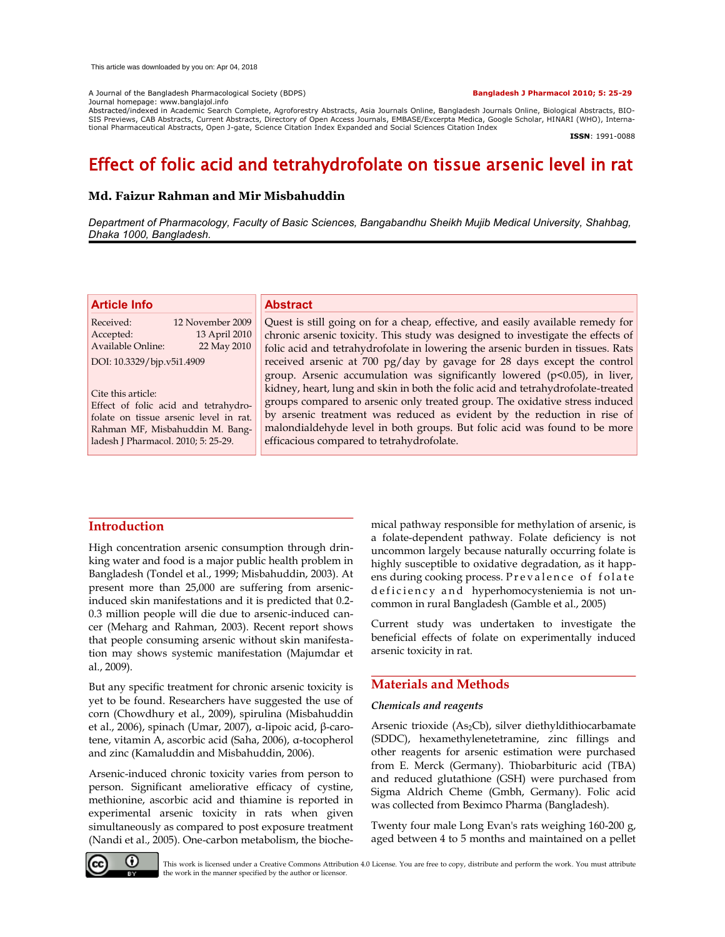A Journal of the Bangladesh Pharmacological Society (BDPS) **Bangladesh J Pharmacol 2010; 5: 25-29**

Journal homepage: www.banglajol.info

Abstracted/indexed in Academic Search Complete, Agroforestry Abstracts, Asia Journals Online, Bangladesh Journals Online, Biological Abstracts, BIO-<br>SIS Previews, CAB Abstracts, Current Abstracts, Directory of Open Access tional Pharmaceutical Abstracts, Open J-gate, Science Citation Index Expanded and Social Sciences Citation Index

**ISSN**: 1991-0088

# Effect of folic acid and tetrahydrofolate on tissue arsenic level in rat

# **Md. Faizur Rahman and Mir Misbahuddin**

*Department of Pharmacology, Faculty of Basic Sciences, Bangabandhu Sheikh Mujib Medical University, Shahbag, Dhaka 1000, Bangladesh.*

| Quest is still going on for a cheap, effective, and easily available remedy for<br>chronic arsenic toxicity. This study was designed to investigate the effects of<br>folic acid and tetrahydrofolate in lowering the arsenic burden in tissues. Rats                                                                                                                |
|----------------------------------------------------------------------------------------------------------------------------------------------------------------------------------------------------------------------------------------------------------------------------------------------------------------------------------------------------------------------|
|                                                                                                                                                                                                                                                                                                                                                                      |
| received arsenic at 700 pg/day by gavage for 28 days except the control<br>group. Arsenic accumulation was significantly lowered (p<0.05), in liver,                                                                                                                                                                                                                 |
| kidney, heart, lung and skin in both the folic acid and tetrahydrofolate-treated<br>groups compared to arsenic only treated group. The oxidative stress induced<br>by arsenic treatment was reduced as evident by the reduction in rise of<br>malondialdehyde level in both groups. But folic acid was found to be more<br>efficacious compared to tetrahydrofolate. |
|                                                                                                                                                                                                                                                                                                                                                                      |

# **Introduction**

High concentration arsenic consumption through drinking water and food is a major public health problem in Bangladesh (Tondel et al., 1999; Misbahuddin, 2003). At present more than 25,000 are suffering from arsenicinduced skin manifestations and it is predicted that 0.2- 0.3 million people will die due to arsenic-induced cancer (Meharg and Rahman, 2003). Recent report shows that people consuming arsenic without skin manifestation may shows systemic manifestation (Majumdar et al., 2009).

But any specific treatment for chronic arsenic toxicity is yet to be found. Researchers have suggested the use of corn (Chowdhury et al., 2009), spirulina (Misbahuddin et al., 2006), spinach (Umar, 2007), α-lipoic acid, β-carotene, vitamin A, ascorbic acid (Saha, 2006), α-tocopherol and zinc (Kamaluddin and Misbahuddin, 2006).

Arsenic-induced chronic toxicity varies from person to person. Significant ameliorative efficacy of cystine, methionine, ascorbic acid and thiamine is reported in experimental arsenic toxicity in rats when given simultaneously as compared to post exposure treatment (Nandi et al., 2005). One-carbon metabolism, the bioche-

mical pathway responsible for methylation of arsenic, is a folate-dependent pathway. Folate deficiency is not uncommon largely because naturally occurring folate is highly susceptible to oxidative degradation, as it happens during cooking process. Prevalence of folate deficiency and hyperhomocysteniemia is not uncommon in rural Bangladesh (Gamble et al., 2005)

Current study was undertaken to investigate the beneficial effects of folate on experimentally induced arsenic toxicity in rat.

## **Materials and Methods**

#### *Chemicals and reagents*

Arsenic trioxide (As<sub>2</sub>Cb), silver diethyldithiocarbamate (SDDC), hexamethylenetetramine, zinc fillings and other reagents for arsenic estimation were purchased from E. Merck (Germany). Thiobarbituric acid (TBA) and reduced glutathione (GSH) were purchased from Sigma Aldrich Cheme (Gmbh, Germany). Folic acid was collected from Beximco Pharma (Bangladesh).

Twenty four male Long Evan's rats weighing 160-200 g, aged between 4 to 5 months and maintained on a pellet



This work is licensed under a Creative Commons Attribution 4.0 License. You are free to copy, distribute and perform the work. You must attribute the work in the manner specified by the author or licensor.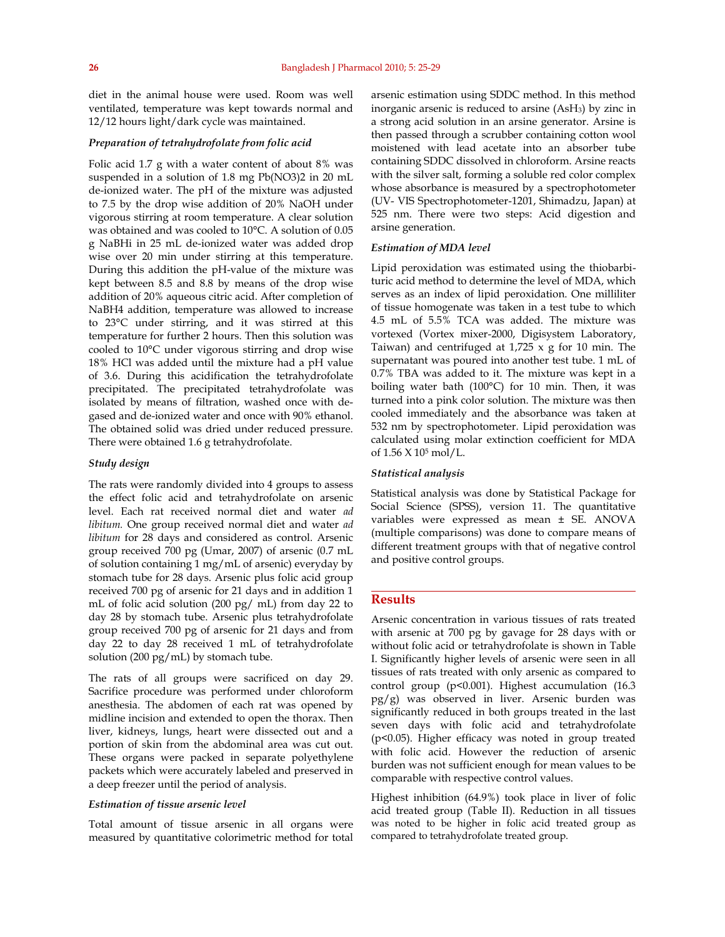diet in the animal house were used. Room was well ventilated, temperature was kept towards normal and 12/12 hours light/dark cycle was maintained.

#### *Preparation of tetrahydrofolate from folic acid*

Folic acid 1.7 g with a water content of about 8% was suspended in a solution of 1.8 mg Pb(NO3)2 in 20 mL de-ionized water. The pH of the mixture was adjusted to 7.5 by the drop wise addition of 20% NaOH under vigorous stirring at room temperature. A clear solution was obtained and was cooled to 10°C. A solution of 0.05 g NaBHi in 25 mL de-ionized water was added drop wise over 20 min under stirring at this temperature. During this addition the pH-value of the mixture was kept between 8.5 and 8.8 by means of the drop wise addition of 20% aqueous citric acid. After completion of NaBH4 addition, temperature was allowed to increase to 23°C under stirring, and it was stirred at this temperature for further 2 hours. Then this solution was cooled to 10°C under vigorous stirring and drop wise 18% HCl was added until the mixture had a pH value of 3.6. During this acidification the tetrahydrofolate precipitated. The precipitated tetrahydrofolate was isolated by means of filtration, washed once with degased and de-ionized water and once with 90% ethanol. The obtained solid was dried under reduced pressure. There were obtained 1.6 g tetrahydrofolate.

#### *Study design*

The rats were randomly divided into 4 groups to assess the effect folic acid and tetrahydrofolate on arsenic level. Each rat received normal diet and water *ad libitum.* One group received normal diet and water *ad libitum* for 28 days and considered as control. Arsenic group received 700 pg (Umar, 2007) of arsenic (0.7 mL of solution containing 1 mg/mL of arsenic) everyday by stomach tube for 28 days. Arsenic plus folic acid group received 700 pg of arsenic for 21 days and in addition 1 mL of folic acid solution (200 pg/ mL) from day 22 to day 28 by stomach tube. Arsenic plus tetrahydrofolate group received 700 pg of arsenic for 21 days and from day 22 to day 28 received 1 mL of tetrahydrofolate solution (200 pg/mL) by stomach tube.

The rats of all groups were sacrificed on day 29. Sacrifice procedure was performed under chloroform anesthesia. The abdomen of each rat was opened by midline incision and extended to open the thorax. Then liver, kidneys, lungs, heart were dissected out and a portion of skin from the abdominal area was cut out. These organs were packed in separate polyethylene packets which were accurately labeled and preserved in a deep freezer until the period of analysis.

#### *Estimation of tissue arsenic level*

Total amount of tissue arsenic in all organs were measured by quantitative colorimetric method for total arsenic estimation using SDDC method. In this method inorganic arsenic is reduced to arsine (AsH3) by zinc in a strong acid solution in an arsine generator. Arsine is then passed through a scrubber containing cotton wool moistened with lead acetate into an absorber tube containing SDDC dissolved in chloroform. Arsine reacts with the silver salt, forming a soluble red color complex whose absorbance is measured by a spectrophotometer (UV- VIS Spectrophotometer-1201, Shimadzu, Japan) at 525 nm. There were two steps: Acid digestion and arsine generation.

### *Estimation of MDA level*

Lipid peroxidation was estimated using the thiobarbituric acid method to determine the level of MDA, which serves as an index of lipid peroxidation. One milliliter of tissue homogenate was taken in a test tube to which 4.5 mL of 5.5% TCA was added. The mixture was vortexed (Vortex mixer-2000, Digisystem Laboratory, Taiwan) and centrifuged at  $1,725 \times g$  for 10 min. The supernatant was poured into another test tube. 1 mL of 0.7% TBA was added to it. The mixture was kept in a boiling water bath (100°C) for 10 min. Then, it was turned into a pink color solution. The mixture was then cooled immediately and the absorbance was taken at 532 nm by spectrophotometer. Lipid peroxidation was calculated using molar extinction coefficient for MDA of 1.56 X 105 mol/L.

#### *Statistical analysis*

Statistical analysis was done by Statistical Package for Social Science (SPSS), version 11. The quantitative variables were expressed as mean ± SE. ANOVA (multiple comparisons) was done to compare means of different treatment groups with that of negative control and positive control groups.

# **Results**

Arsenic concentration in various tissues of rats treated with arsenic at 700 pg by gavage for 28 days with or without folic acid or tetrahydrofolate is shown in Table I. Significantly higher levels of arsenic were seen in all tissues of rats treated with only arsenic as compared to control group (p<0.001). Highest accumulation (16.3 pg/g) was observed in liver. Arsenic burden was significantly reduced in both groups treated in the last seven days with folic acid and tetrahydrofolate (p<0.05). Higher efficacy was noted in group treated with folic acid. However the reduction of arsenic burden was not sufficient enough for mean values to be comparable with respective control values.

Highest inhibition (64.9%) took place in liver of folic acid treated group (Table II). Reduction in all tissues was noted to be higher in folic acid treated group as compared to tetrahydrofolate treated group.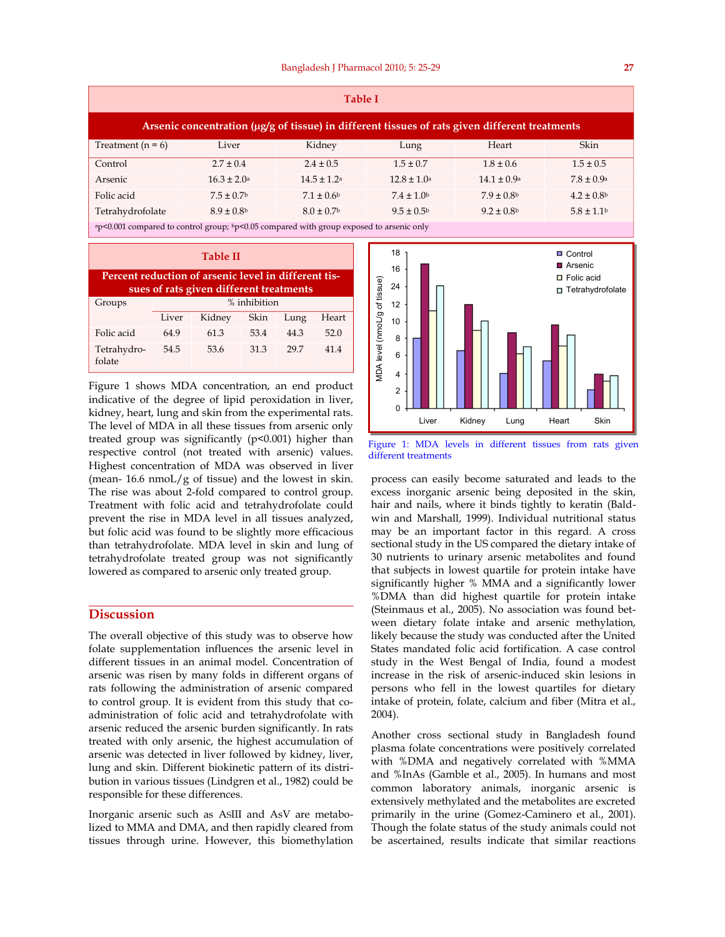| <b>Table I</b>                                                                                 |                        |                            |                        |                        |                            |  |  |  |  |
|------------------------------------------------------------------------------------------------|------------------------|----------------------------|------------------------|------------------------|----------------------------|--|--|--|--|
| Arsenic concentration (µg/g of tissue) in different tissues of rats given different treatments |                        |                            |                        |                        |                            |  |  |  |  |
| Treatment $(n = 6)$                                                                            | Liver                  | Kidney                     | Lung                   | Heart                  | Skin                       |  |  |  |  |
| Control                                                                                        | $2.7 \pm 0.4$          | $2.4 \pm 0.5$              | $1.5 \pm 0.7$          | $1.8 \pm 0.6$          | $1.5 \pm 0.5$              |  |  |  |  |
| Arsenic                                                                                        | $16.3 \pm 2.0^{\circ}$ | $14.5 \pm 1.2^a$           | $12.8 \pm 1.0^{\circ}$ | $14.1 \pm 0.9^{\circ}$ | $7.8 \pm 0.9^{\circ}$      |  |  |  |  |
| Folic acid                                                                                     | $7.5 \pm 0.7$          | $7.1 \pm 0.6$              | $7.4 \pm 1.0$          | $7.9 \pm 0.8$          | $4.2 \pm 0.8$              |  |  |  |  |
| Tetrahydrofolate                                                                               | $8.9 \pm 0.8$          | $8.0 \pm 0.7$ <sup>b</sup> | $9.5 \pm 0.5^{\circ}$  | $9.2 \pm 0.8$          | $5.8 \pm 1.1$ <sup>b</sup> |  |  |  |  |
| ap<0.001 compared to control group; bp<0.05 compared with group exposed to arsenic only        |                        |                            |                        |                        |                            |  |  |  |  |

| Table II                                                                                        |              |        |      |      |       |  |  |  |  |
|-------------------------------------------------------------------------------------------------|--------------|--------|------|------|-------|--|--|--|--|
| Percent reduction of arsenic level in different tis-<br>sues of rats given different treatments |              |        |      |      |       |  |  |  |  |
| Groups                                                                                          | % inhibition |        |      |      |       |  |  |  |  |
|                                                                                                 | Liver        | Kidney | Skin | Lung | Heart |  |  |  |  |
| Folic acid                                                                                      | 649          | 61.3   | 53.4 | 44.3 | 520   |  |  |  |  |
| Tetrahydro-<br>folate                                                                           | 54.5         | 53.6   | 31.3 | 297  | 414   |  |  |  |  |

Figure 1 shows MDA concentration, an end product indicative of the degree of lipid peroxidation in liver, kidney, heart, lung and skin from the experimental rats. The level of MDA in all these tissues from arsenic only treated group was significantly  $(p<0.001)$  higher than respective control (not treated with arsenic) values. Highest concentration of MDA was observed in liver (mean-  $16.6 \text{ nmol}/g$  of tissue) and the lowest in skin. The rise was about 2-fold compared to control group. Treatment with folic acid and tetrahydrofolate could prevent the rise in MDA level in all tissues analyzed, but folic acid was found to be slightly more efficacious than tetrahydrofolate. MDA level in skin and lung of tetrahydrofolate treated group was not significantly lowered as compared to arsenic only treated group.

# **Discussion**

The overall objective of this study was to observe how folate supplementation influences the arsenic level in different tissues in an animal model. Concentration of arsenic was risen by many folds in different organs of rats following the administration of arsenic compared to control group. It is evident from this study that coadministration of folic acid and tetrahydrofolate with arsenic reduced the arsenic burden significantly. In rats treated with only arsenic, the highest accumulation of arsenic was detected in liver followed by kidney, liver, lung and skin. Different biokinetic pattern of its distribution in various tissues (Lindgren et al., 1982) could be responsible for these differences.

Inorganic arsenic such as ASIII and AsV are metabolized to MMA and DMA, and then rapidly cleared from tissues through urine. However, this biomethylation



Figure 1: MDA levels in different tissues from rats given different treatments

process can easily become saturated and leads to the excess inorganic arsenic being deposited in the skin, hair and nails, where it binds tightly to keratin (Baldwin and Marshall, 1999). Individual nutritional status may be an important factor in this regard. A cross sectional study in the US compared the dietary intake of 30 nutrients to urinary arsenic metabolites and found that subjects in lowest quartile for protein intake have significantly higher % MMA and a significantly lower %DMA than did highest quartile for protein intake (Steinmaus et al., 2005). No association was found between dietary folate intake and arsenic methylation, likely because the study was conducted after the United States mandated folic acid fortification. A case control study in the West Bengal of India, found a modest increase in the risk of arsenic-induced skin lesions in persons who fell in the lowest quartiles for dietary intake of protein, folate, calcium and fiber (Mitra et al., 2004).

Another cross sectional study in Bangladesh found plasma folate concentrations were positively correlated with %DMA and negatively correlated with %MMA and %InAs (Gamble et al., 2005). In humans and most common laboratory animals, inorganic arsenic is extensively methylated and the metabolites are excreted primarily in the urine (Gomez-Caminero et al., 2001). Though the folate status of the study animals could not be ascertained, results indicate that similar reactions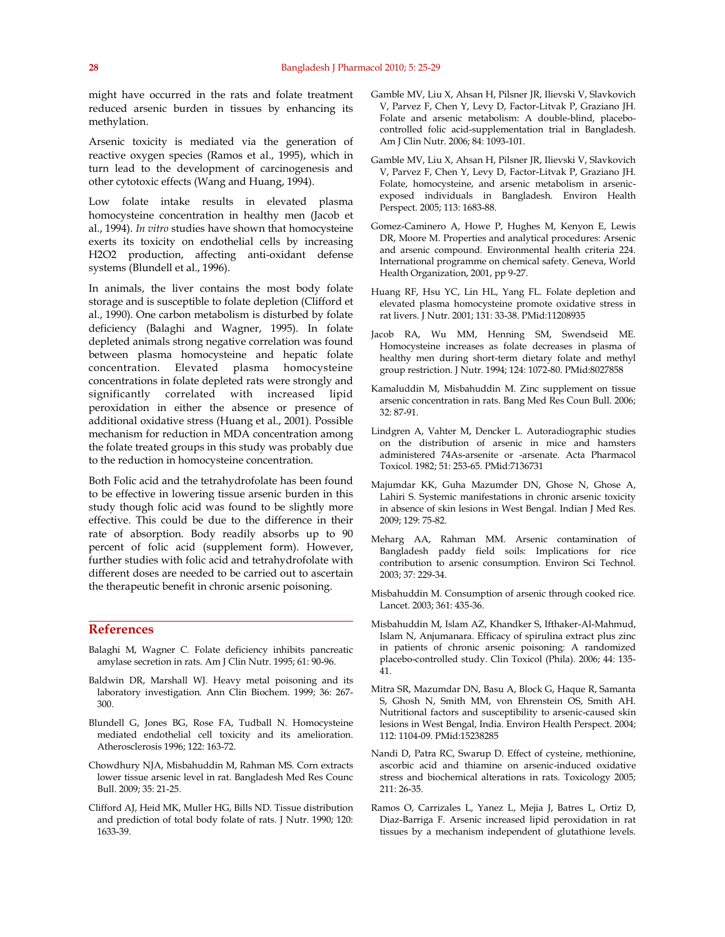might have occurred in the rats and folate treatment reduced arsenic burden in tissues by enhancing its methylation.

Arsenic toxicity is mediated via the generation of reactive oxygen species (Ramos et al., 1995), which in turn lead to the development of carcinogenesis and other cytotoxic effects (Wang and Huang, 1994).

Low folate intake results in elevated plasma homocysteine concentration in healthy men (Jacob et al., 1994). *In vitro* studies have shown that homocysteine exerts its toxicity on endothelial cells by increasing H2O2 production, affecting anti-oxidant defense systems (Blundell et al., 1996).

In animals, the liver contains the most body folate storage and is susceptible to folate depletion (Clifford et al., 1990). One carbon metabolism is disturbed by folate deficiency (Balaghi and Wagner, 1995). In folate depleted animals strong negative correlation was found between plasma homocysteine and hepatic folate concentration. Elevated plasma homocysteine concentrations in folate depleted rats were strongly and significantly correlated with increased lipid peroxidation in either the absence or presence of additional oxidative stress (Huang et al., 2001). Possible mechanism for reduction in MDA concentration among the folate treated groups in this study was probably due to the reduction in homocysteine concentration.

Both Folic acid and the tetrahydrofolate has been found to be effective in lowering tissue arsenic burden in this study though folic acid was found to be slightly more effective. This could be due to the difference in their rate of absorption. Body readily absorbs up to 90 percent of folic acid (supplement form). However, further studies with folic acid and tetrahydrofolate with different doses are needed to be carried out to ascertain the therapeutic benefit in chronic arsenic poisoning.

# **References**

- Balaghi M, Wagner C. Folate deficiency inhibits pancreatic amylase secretion in rats. Am J Clin Nutr. 1995; 61: 90-96.
- Baldwin DR, Marshall WJ. Heavy metal poisoning and its laboratory investigation. Ann Clin Biochem. 1999; 36: 267- 300.
- Blundell G, Jones BG, Rose FA, Tudball N. Homocysteine mediated endothelial cell toxicity and its amelioration. Atherosclerosis 1996; 122: 163-72.
- Chowdhury NJA, Misbahuddin M, Rahman MS. Corn extracts lower tissue arsenic level in rat. Bangladesh Med Res Counc Bull. 2009; 35: 21-25.
- Clifford AJ, Heid MK, Muller HG, Bills ND. Tissue distribution and prediction of total body folate of rats. J Nutr. 1990; 120: 1633-39.
- Gamble MV, Liu X, Ahsan H, Pilsner JR, Ilievski V, Slavkovich V, Parvez F, Chen Y, Levy D, Factor-Litvak P, Graziano JH. Folate and arsenic metabolism: A double-blind, placebocontrolled folic acid-supplementation trial in Bangladesh. Am J Clin Nutr. 2006; 84: 1093-101.
- Gamble MV, Liu X, Ahsan H, Pilsner JR, Ilievski V, Slavkovich V, Parvez F, Chen Y, Levy D, Factor-Litvak P, Graziano JH. Folate, homocysteine, and arsenic metabolism in arsenicexposed individuals in Bangladesh. Environ Health Perspect. 2005; 113: 1683-88.
- Gomez-Caminero A, Howe P, Hughes M, Kenyon E, Lewis DR, Moore M. Properties and analytical procedures: Arsenic and arsenic compound. Environmental health criteria 224. International programme on chemical safety. Geneva, World Health Organization, 2001, pp 9-27.
- Huang RF, Hsu YC, Lin HL, Yang FL. Folate depletion and elevated plasma homocysteine promote oxidative stress in rat livers. J Nutr. 2001; 131: 33-38. PMid:11208935
- Jacob RA, Wu MM, Henning SM, Swendseid ME. Homocysteine increases as folate decreases in plasma of healthy men during short-term dietary folate and methyl group restriction. J Nutr. 1994; 124: 1072-80. PMid:8027858
- Kamaluddin M, Misbahuddin M. Zinc supplement on tissue arsenic concentration in rats. Bang Med Res Coun Bull. 2006; 32: 87-91.
- Lindgren A, Vahter M, Dencker L. Autoradiographic studies on the distribution of arsenic in mice and hamsters administered 74As-arsenite or -arsenate. Acta Pharmacol Toxicol. 1982; 51: 253-65. PMid:7136731
- Majumdar KK, Guha Mazumder DN, Ghose N, Ghose A, Lahiri S. Systemic manifestations in chronic arsenic toxicity in absence of skin lesions in West Bengal. Indian J Med Res. 2009; 129: 75-82.
- Meharg AA, Rahman MM. Arsenic contamination of Bangladesh paddy field soils: Implications for rice contribution to arsenic consumption. Environ Sci Technol. 2003; 37: 229-34.
- Misbahuddin M. Consumption of arsenic through cooked rice. Lancet. 2003; 361: 435-36.
- Misbahuddin M, Islam AZ, Khandker S, Ifthaker-Al-Mahmud, Islam N, Anjumanara. Efficacy of spirulina extract plus zinc in patients of chronic arsenic poisoning: A randomized placebo-controlled study. Clin Toxicol (Phila). 2006; 44: 135- 41.
- Mitra SR, Mazumdar DN, Basu A, Block G, Haque R, Samanta S, Ghosh N, Smith MM, von Ehrenstein OS, Smith AH. Nutritional factors and susceptibility to arsenic-caused skin lesions in West Bengal, India. Environ Health Perspect. 2004; 112: 1104-09. PMid:15238285
- Nandi D, Patra RC, Swarup D. Effect of cysteine, methionine, ascorbic acid and thiamine on arsenic-induced oxidative stress and biochemical alterations in rats. Toxicology 2005; 211: 26-35.
- Ramos O, Carrizales L, Yanez L, Mejia J, Batres L, Ortiz D, Diaz-Barriga F. Arsenic increased lipid peroxidation in rat tissues by a mechanism independent of glutathione levels.